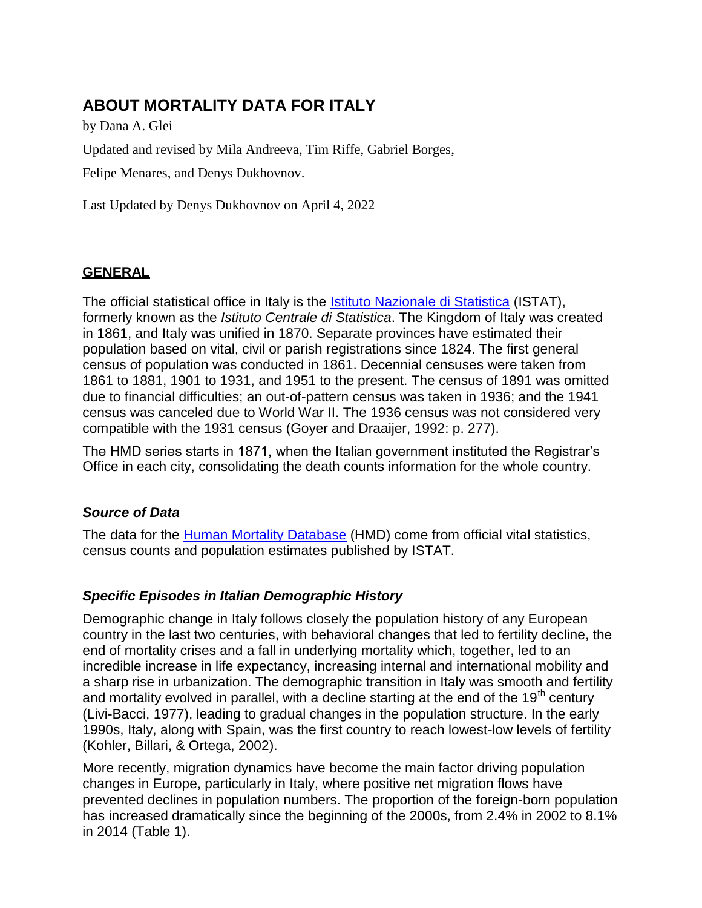# **ABOUT MORTALITY DATA FOR ITALY**

by Dana A. Glei Updated and revised by Mila Andreeva, Tim Riffe, Gabriel Borges,

Felipe Menares, and Denys Dukhovnov.

Last Updated by Denys Dukhovnov on April 4, 2022

## **GENERAL**

The official statistical office in Italy is the [Istituto Nazionale di Statistica](http://www.istat.it/) (ISTAT), formerly known as the *Istituto Centrale di Statistica*. The Kingdom of Italy was created in 1861, and Italy was unified in 1870. Separate provinces have estimated their population based on vital, civil or parish registrations since 1824. The first general census of population was conducted in 1861. Decennial censuses were taken from 1861 to 1881, 1901 to 1931, and 1951 to the present. The census of 1891 was omitted due to financial difficulties; an out-of-pattern census was taken in 1936; and the 1941 census was canceled due to World War II. The 1936 census was not considered very compatible with the 1931 census (Goyer and Draaijer, 1992: p. 277).

The HMD series starts in 1871, when the Italian government instituted the Registrar's Office in each city, consolidating the death counts information for the whole country.

## *Source of Data*

The data for the [Human Mortality Database](http://www.mortality.org/) (HMD) come from official vital statistics, census counts and population estimates published by ISTAT.

## *Specific Episodes in Italian Demographic History*

Demographic change in Italy follows closely the population history of any European country in the last two centuries, with behavioral changes that led to fertility decline, the end of mortality crises and a fall in underlying mortality which, together, led to an incredible increase in life expectancy, increasing internal and international mobility and a sharp rise in urbanization. The demographic transition in Italy was smooth and fertility and mortality evolved in parallel, with a decline starting at the end of the  $19<sup>th</sup>$  century (Livi-Bacci, 1977), leading to gradual changes in the population structure. In the early 1990s, Italy, along with Spain, was the first country to reach lowest-low levels of fertility (Kohler, Billari, & Ortega, 2002).

More recently, migration dynamics have become the main factor driving population changes in Europe, particularly in Italy, where positive net migration flows have prevented declines in population numbers. The proportion of the foreign-born population has increased dramatically since the beginning of the 2000s, from 2.4% in 2002 to 8.1% in 2014 (Table 1).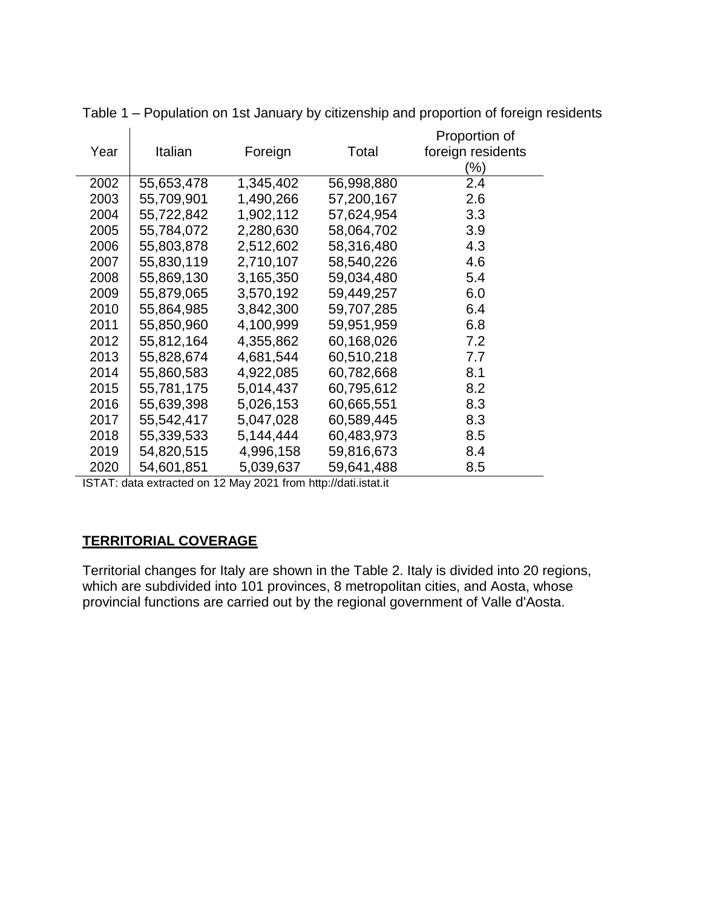|      |            |           |            | Proportion of     |
|------|------------|-----------|------------|-------------------|
| Year | Italian    | Foreign   | Total      | foreign residents |
|      |            |           |            | $\frac{9}{6}$     |
| 2002 | 55,653,478 | 1,345,402 | 56,998,880 | 2.4               |
| 2003 | 55,709,901 | 1,490,266 | 57,200,167 | 2.6               |
| 2004 | 55,722,842 | 1,902,112 | 57,624,954 | 3.3               |
| 2005 | 55,784,072 | 2,280,630 | 58,064,702 | 3.9               |
| 2006 | 55,803,878 | 2,512,602 | 58,316,480 | 4.3               |
| 2007 | 55,830,119 | 2,710,107 | 58,540,226 | 4.6               |
| 2008 | 55,869,130 | 3,165,350 | 59,034,480 | 5.4               |
| 2009 | 55,879,065 | 3,570,192 | 59,449,257 | 6.0               |
| 2010 | 55,864,985 | 3,842,300 | 59,707,285 | 6.4               |
| 2011 | 55,850,960 | 4,100,999 | 59,951,959 | 6.8               |
| 2012 | 55,812,164 | 4,355,862 | 60,168,026 | 7.2               |
| 2013 | 55,828,674 | 4,681,544 | 60,510,218 | 7.7               |
| 2014 | 55,860,583 | 4,922,085 | 60,782,668 | 8.1               |
| 2015 | 55,781,175 | 5,014,437 | 60,795,612 | 8.2               |
| 2016 | 55,639,398 | 5,026,153 | 60,665,551 | 8.3               |
| 2017 | 55,542,417 | 5,047,028 | 60,589,445 | 8.3               |
| 2018 | 55,339,533 | 5,144,444 | 60,483,973 | 8.5               |
| 2019 | 54,820,515 | 4,996,158 | 59,816,673 | 8.4               |
| 2020 | 54,601,851 | 5,039,637 | 59,641,488 | 8.5               |

Table 1 – Population on 1st January by citizenship and proportion of foreign residents

ISTAT: data extracted on 12 May 2021 from [http://dati.istat.it](http://dati.istat.it/)

## **TERRITORIAL COVERAGE**

Territorial changes for Italy are shown in the Table 2. Italy is divided into 20 regions, which are subdivided into 101 provinces, 8 metropolitan cities, and Aosta, whose provincial functions are carried out by the regional government of Valle d'Aosta.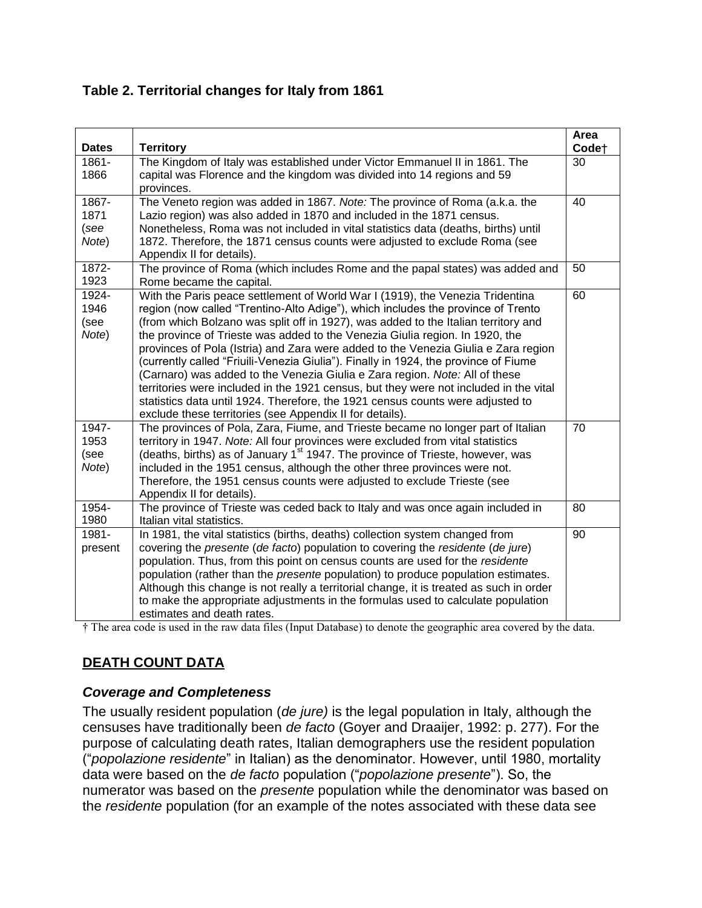## **Table 2. Territorial changes for Italy from 1861**

| <b>Dates</b>                            | <b>Territory</b>                                                                                                                                                                                                                                                                                                                                                                                                                                                                                                                                                                                                                                                                                                                                                                                                                           | Area<br>Code <sup>+</sup> |
|-----------------------------------------|--------------------------------------------------------------------------------------------------------------------------------------------------------------------------------------------------------------------------------------------------------------------------------------------------------------------------------------------------------------------------------------------------------------------------------------------------------------------------------------------------------------------------------------------------------------------------------------------------------------------------------------------------------------------------------------------------------------------------------------------------------------------------------------------------------------------------------------------|---------------------------|
| $1861 -$<br>1866                        | The Kingdom of Italy was established under Victor Emmanuel II in 1861. The<br>capital was Florence and the kingdom was divided into 14 regions and 59<br>provinces.                                                                                                                                                                                                                                                                                                                                                                                                                                                                                                                                                                                                                                                                        | 30                        |
| 1867-<br>1871<br>(see<br>Note)          | The Veneto region was added in 1867. Note: The province of Roma (a.k.a. the<br>Lazio region) was also added in 1870 and included in the 1871 census.<br>Nonetheless, Roma was not included in vital statistics data (deaths, births) until<br>1872. Therefore, the 1871 census counts were adjusted to exclude Roma (see<br>Appendix II for details).                                                                                                                                                                                                                                                                                                                                                                                                                                                                                      | 40                        |
| 1872-<br>1923                           | The province of Roma (which includes Rome and the papal states) was added and<br>Rome became the capital.                                                                                                                                                                                                                                                                                                                                                                                                                                                                                                                                                                                                                                                                                                                                  | 50                        |
| 1924-<br>1946<br>(see<br>Note)          | With the Paris peace settlement of World War I (1919), the Venezia Tridentina<br>region (now called "Trentino-Alto Adige"), which includes the province of Trento<br>(from which Bolzano was split off in 1927), was added to the Italian territory and<br>the province of Trieste was added to the Venezia Giulia region. In 1920, the<br>provinces of Pola (Istria) and Zara were added to the Venezia Giulia e Zara region<br>(currently called "Friuili-Venezia Giulia"). Finally in 1924, the province of Fiume<br>(Carnaro) was added to the Venezia Giulia e Zara region. Note: All of these<br>territories were included in the 1921 census, but they were not included in the vital<br>statistics data until 1924. Therefore, the 1921 census counts were adjusted to<br>exclude these territories (see Appendix II for details). | 60                        |
| 1947-<br>1953<br>(see<br>Note)<br>1954- | The provinces of Pola, Zara, Fiume, and Trieste became no longer part of Italian<br>territory in 1947. Note: All four provinces were excluded from vital statistics<br>(deaths, births) as of January 1 <sup>st</sup> 1947. The province of Trieste, however, was<br>included in the 1951 census, although the other three provinces were not.<br>Therefore, the 1951 census counts were adjusted to exclude Trieste (see<br>Appendix II for details).<br>The province of Trieste was ceded back to Italy and was once again included in                                                                                                                                                                                                                                                                                                   | 70<br>80                  |
| 1980                                    | Italian vital statistics.                                                                                                                                                                                                                                                                                                                                                                                                                                                                                                                                                                                                                                                                                                                                                                                                                  |                           |
| 1981-<br>present                        | In 1981, the vital statistics (births, deaths) collection system changed from<br>covering the presente (de facto) population to covering the residente (de jure)<br>population. Thus, from this point on census counts are used for the residente<br>population (rather than the <i>presente</i> population) to produce population estimates.<br>Although this change is not really a territorial change, it is treated as such in order<br>to make the appropriate adjustments in the formulas used to calculate population<br>estimates and death rates.                                                                                                                                                                                                                                                                                 | 90                        |

† The area code is used in the raw data files (Input Database) to denote the geographic area covered by the data.

## **DEATH COUNT DATA**

## *Coverage and Completeness*

The usually resident population (*de jure)* is the legal population in Italy, although the censuses have traditionally been *de facto* (Goyer and Draaijer, 1992: p. 277). For the purpose of calculating death rates, Italian demographers use the resident population ("*popolazione residente*" in Italian) as the denominator. However, until 1980, mortality data were based on the *de facto* population ("*popolazione presente*"). So, the numerator was based on the *presente* population while the denominator was based on the *residente* population (for an example of the notes associated with these data see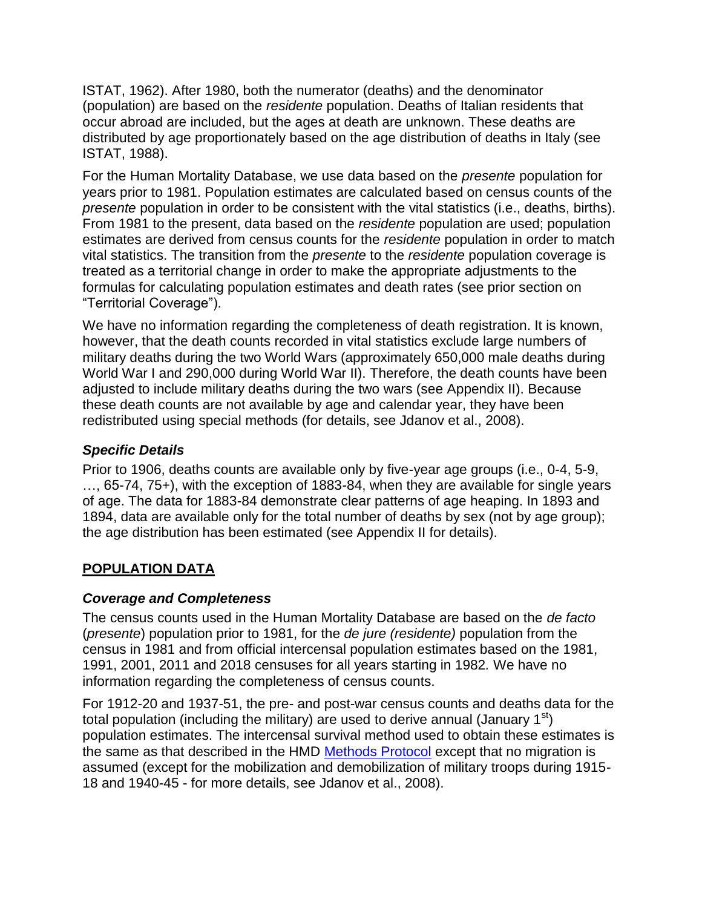ISTAT, 1962). After 1980, both the numerator (deaths) and the denominator (population) are based on the *residente* population. Deaths of Italian residents that occur abroad are included, but the ages at death are unknown. These deaths are distributed by age proportionately based on the age distribution of deaths in Italy (see ISTAT, 1988).

For the Human Mortality Database, we use data based on the *presente* population for years prior to 1981. Population estimates are calculated based on census counts of the *presente* population in order to be consistent with the vital statistics (i.e., deaths, births). From 1981 to the present, data based on the *residente* population are used; population estimates are derived from census counts for the *residente* population in order to match vital statistics. The transition from the *presente* to the *residente* population coverage is treated as a territorial change in order to make the appropriate adjustments to the formulas for calculating population estimates and death rates (see prior section on "Territorial Coverage").

We have no information regarding the completeness of death registration. It is known, however, that the death counts recorded in vital statistics exclude large numbers of military deaths during the two World Wars (approximately 650,000 male deaths during World War I and 290,000 during World War II). Therefore, the death counts have been adjusted to include military deaths during the two wars (see Appendix II). Because these death counts are not available by age and calendar year, they have been redistributed using special methods (for details, see Jdanov et al., 2008).

## *Specific Details*

Prior to 1906, deaths counts are available only by five-year age groups (i.e., 0-4, 5-9, …, 65-74, 75+), with the exception of 1883-84, when they are available for single years of age. The data for 1883-84 demonstrate clear patterns of age heaping. In 1893 and 1894, data are available only for the total number of deaths by sex (not by age group); the age distribution has been estimated (see Appendix II for details).

## **POPULATION DATA**

## *Coverage and Completeness*

The census counts used in the Human Mortality Database are based on the *de facto*  (*presente*) population prior to 1981, for the *de jure (residente)* population from the census in 1981 and from official intercensal population estimates based on the 1981, 1991, 2001, 2011 and 2018 censuses for all years starting in 1982*.* We have no information regarding the completeness of census counts.

For 1912-20 and 1937-51, the pre- and post-war census counts and deaths data for the total population (including the military) are used to derive annual (January  $1<sup>st</sup>$ ) population estimates. The intercensal survival method used to obtain these estimates is the same as that described in the HMD [Methods Protocol](http://www.mortality.org/Public/Docs/MethodsProtocol.pdf) except that no migration is assumed (except for the mobilization and demobilization of military troops during 1915- 18 and 1940-45 - for more details, see Jdanov et al., 2008).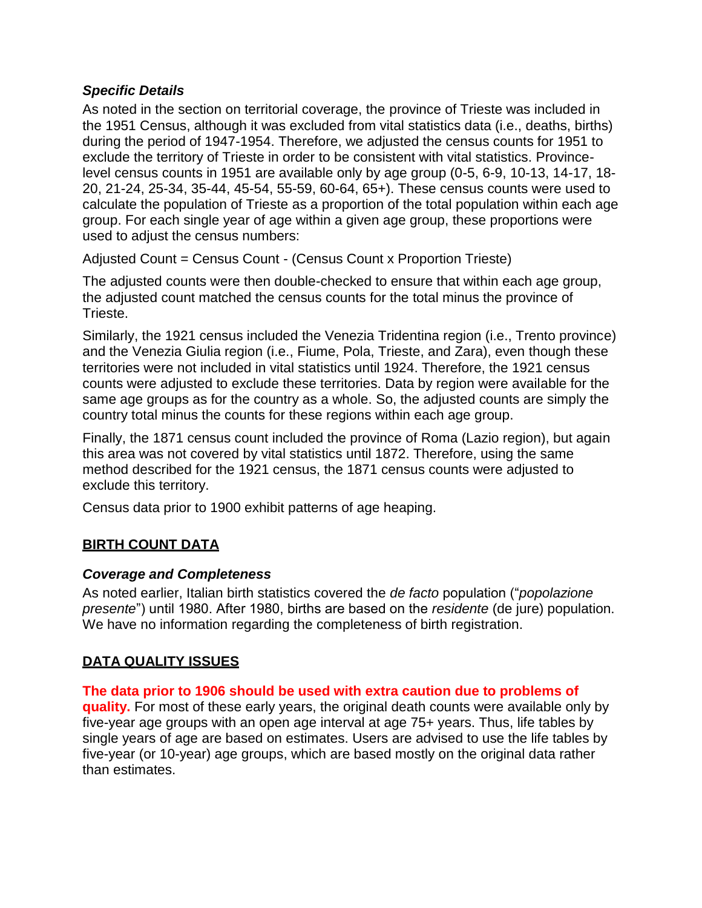## *Specific Details*

As noted in the section on territorial coverage, the province of Trieste was included in the 1951 Census, although it was excluded from vital statistics data (i.e., deaths, births) during the period of 1947-1954. Therefore, we adjusted the census counts for 1951 to exclude the territory of Trieste in order to be consistent with vital statistics. Provincelevel census counts in 1951 are available only by age group (0-5, 6-9, 10-13, 14-17, 18- 20, 21-24, 25-34, 35-44, 45-54, 55-59, 60-64, 65+). These census counts were used to calculate the population of Trieste as a proportion of the total population within each age group. For each single year of age within a given age group, these proportions were used to adjust the census numbers:

Adjusted Count = Census Count - (Census Count x Proportion Trieste)

The adjusted counts were then double-checked to ensure that within each age group, the adjusted count matched the census counts for the total minus the province of Trieste.

Similarly, the 1921 census included the Venezia Tridentina region (i.e., Trento province) and the Venezia Giulia region (i.e., Fiume, Pola, Trieste, and Zara), even though these territories were not included in vital statistics until 1924. Therefore, the 1921 census counts were adjusted to exclude these territories. Data by region were available for the same age groups as for the country as a whole. So, the adjusted counts are simply the country total minus the counts for these regions within each age group.

Finally, the 1871 census count included the province of Roma (Lazio region), but again this area was not covered by vital statistics until 1872. Therefore, using the same method described for the 1921 census, the 1871 census counts were adjusted to exclude this territory.

Census data prior to 1900 exhibit patterns of age heaping.

## **BIRTH COUNT DATA**

## *Coverage and Completeness*

As noted earlier, Italian birth statistics covered the *de facto* population ("*popolazione presente*") until 1980. After 1980, births are based on the *residente* (de jure) population. We have no information regarding the completeness of birth registration.

## **DATA QUALITY ISSUES**

#### **The data prior to 1906 should be used with extra caution due to problems of**

**quality.** For most of these early years, the original death counts were available only by five-year age groups with an open age interval at age 75+ years. Thus, life tables by single years of age are based on estimates. Users are advised to use the life tables by five-year (or 10-year) age groups, which are based mostly on the original data rather than estimates.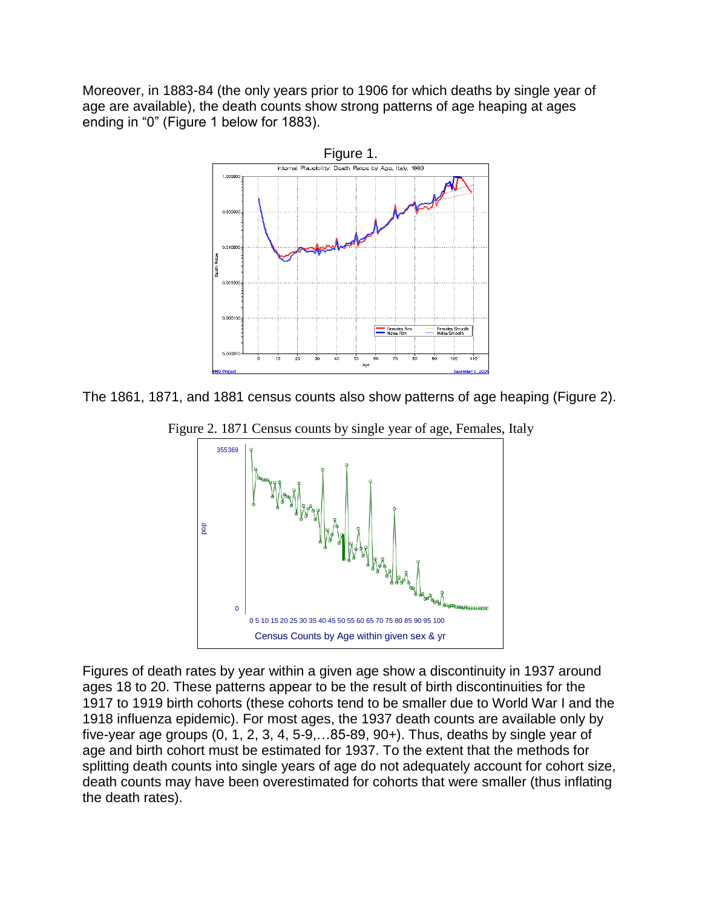Moreover, in 1883-84 (the only years prior to 1906 for which deaths by single year of age are available), the death counts show strong patterns of age heaping at ages ending in "0" (Figure 1 below for 1883).



The 1861, 1871, and 1881 census counts also show patterns of age heaping (Figure 2).



Figure 2. 1871 Census counts by single year of age, Females, Italy

Figures of death rates by year within a given age show a discontinuity in 1937 around ages 18 to 20. These patterns appear to be the result of birth discontinuities for the 1917 to 1919 birth cohorts (these cohorts tend to be smaller due to World War I and the 1918 influenza epidemic). For most ages, the 1937 death counts are available only by five-year age groups (0, 1, 2, 3, 4, 5-9,…85-89, 90+). Thus, deaths by single year of age and birth cohort must be estimated for 1937. To the extent that the methods for splitting death counts into single years of age do not adequately account for cohort size, death counts may have been overestimated for cohorts that were smaller (thus inflating the death rates).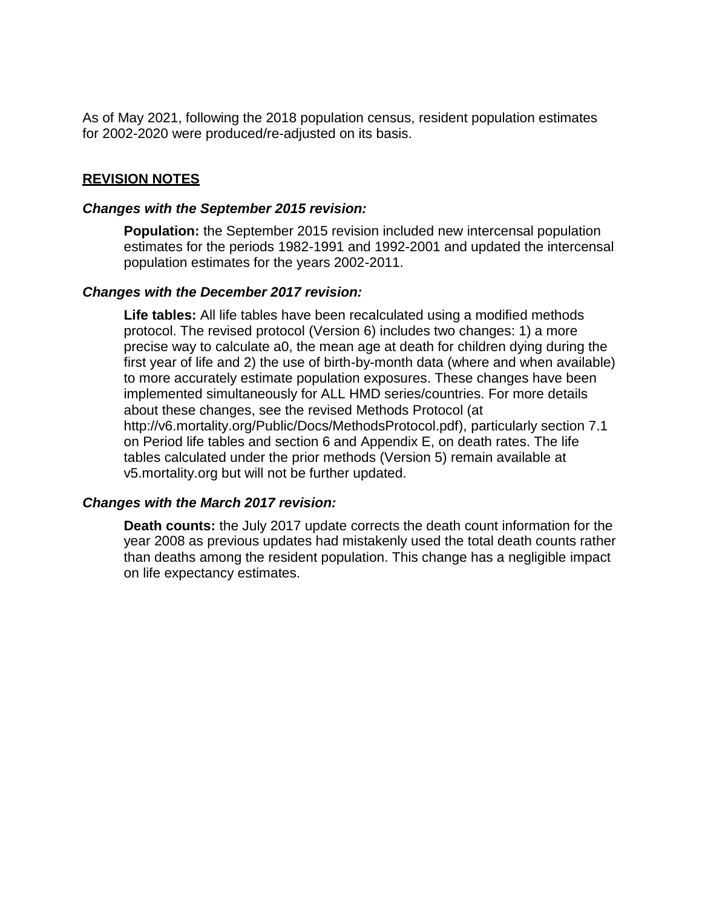As of May 2021, following the 2018 population census, resident population estimates for 2002-2020 were produced/re-adjusted on its basis.

### **REVISION NOTES**

#### *Changes with the September 2015 revision:*

**Population:** the September 2015 revision included new intercensal population estimates for the periods 1982-1991 and 1992-2001 and updated the intercensal population estimates for the years 2002-2011.

#### *Changes with the December 2017 revision:*

**Life tables:** All life tables have been recalculated using a modified methods protocol. The revised protocol (Version 6) includes two changes: 1) a more precise way to calculate a0, the mean age at death for children dying during the first year of life and 2) the use of birth-by-month data (where and when available) to more accurately estimate population exposures. These changes have been implemented simultaneously for ALL HMD series/countries. For more details about these changes, see the revised Methods Protocol (at [http://v6.mortality.org/Public/Docs/MethodsProtocol.pdf\), p](http://v6.mortality.org/Public/Docs/MethodsProtocol.pdf))articularly section 7.1 on Period life tables and section 6 and Appendix E, on death rates. The life tables calculated under the prior methods (Version 5) remain available at v5.mortality.org but will not be further updated.

#### *Changes with the March 2017 revision:*

**Death counts:** the July 2017 update corrects the death count information for the year 2008 as previous updates had mistakenly used the total death counts rather than deaths among the resident population. This change has a negligible impact on life expectancy estimates.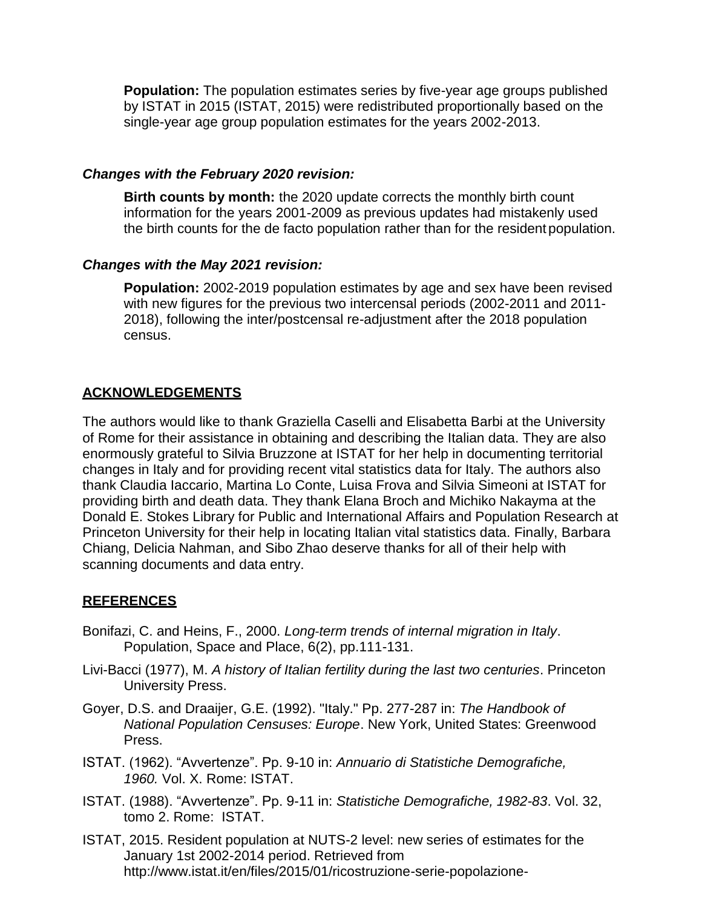**Population:** The population estimates series by five-year age groups published by ISTAT in 2015 (ISTAT, 2015) were redistributed proportionally based on the single-year age group population estimates for the years 2002-2013.

#### *Changes with the February 2020 revision:*

**Birth counts by month:** the 2020 update corrects the monthly birth count information for the years 2001-2009 as previous updates had mistakenly used the birth counts for the de facto population rather than for the resident population.

#### *Changes with the May 2021 revision:*

**Population:** 2002-2019 population estimates by age and sex have been revised with new figures for the previous two intercensal periods (2002-2011 and 2011- 2018), following the inter/postcensal re-adjustment after the 2018 population census.

### **ACKNOWLEDGEMENTS**

The authors would like to thank Graziella Caselli and Elisabetta Barbi at the University of Rome for their assistance in obtaining and describing the Italian data. They are also enormously grateful to Silvia Bruzzone at ISTAT for her help in documenting territorial changes in Italy and for providing recent vital statistics data for Italy. The authors also thank Claudia Iaccario, Martina Lo Conte, Luisa Frova and Silvia Simeoni at ISTAT for providing birth and death data. They thank Elana Broch and Michiko Nakayma at the Donald E. Stokes Library for Public and International Affairs and Population Research at Princeton University for their help in locating Italian vital statistics data. Finally, Barbara Chiang, Delicia Nahman, and Sibo Zhao deserve thanks for all of their help with scanning documents and data entry.

## **REFERENCES**

- Bonifazi, C. and Heins, F., 2000. *Long‐term trends of internal migration in Italy*. Population, Space and Place, 6(2), pp.111-131.
- Livi-Bacci (1977), M. *A history of Italian fertility during the last two centuries*. Princeton University Press.
- Goyer, D.S. and Draaijer, G.E. (1992). "Italy." Pp. 277-287 in: *The Handbook of National Population Censuses: Europe*. New York, United States: Greenwood Press.
- ISTAT. (1962). "Avvertenze". Pp. 9-10 in: *Annuario di Statistiche Demografiche, 1960.* Vol. X. Rome: ISTAT.
- ISTAT. (1988). "Avvertenze". Pp. 9-11 in: *Statistiche Demografiche, 1982-83*. Vol. 32, tomo 2. Rome: ISTAT.
- ISTAT, 2015. Resident population at NUTS-2 level: new series of estimates for the January 1st 2002-2014 period. Retrieved from <http://www.istat.it/en/files/2015/01/ricostruzione-serie-popolazione->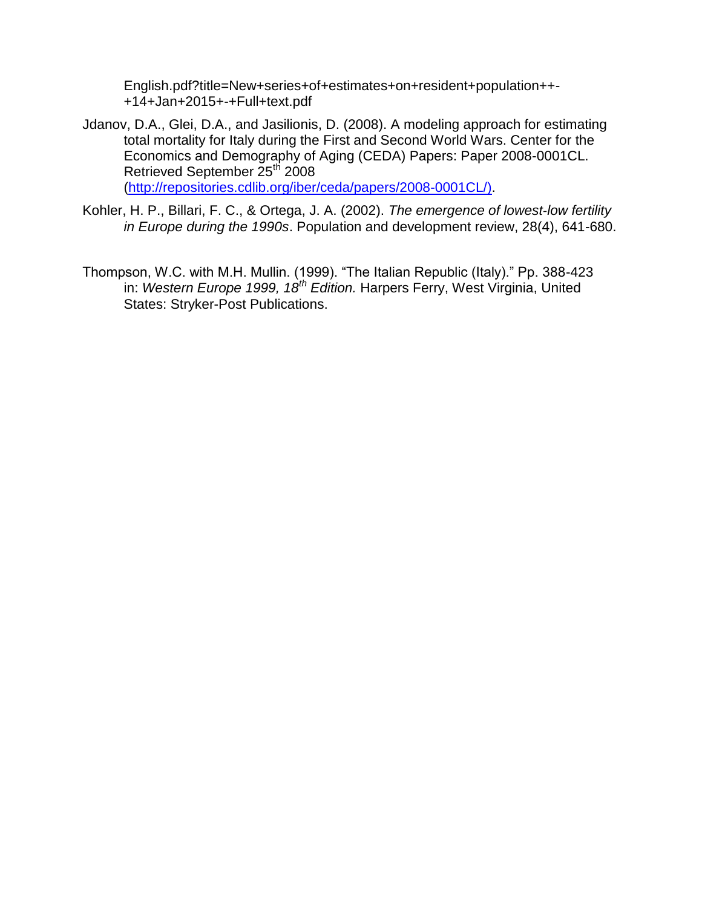English.pdf?title=New+series+of+estimates+on+resident+population++- +14+Jan+2015+-+Full+text.pdf

- Jdanov, D.A., Glei, D.A., and Jasilionis, D. (2008). A modeling approach for estimating total mortality for Italy during the First and Second World Wars. Center for the Economics and Demography of Aging (CEDA) Papers: Paper 2008-0001CL. Retrieved September 25<sup>th</sup> 2008 [\(http://repositories.cdlib.org/iber/ceda/papers/2008-0001CL/\).](http://repositories.cdlib.org/iber/ceda/papers/2008-0001CL/))
- Kohler, H. P., Billari, F. C., & Ortega, J. A. (2002). *The emergence of lowest‐low fertility in Europe during the 1990s*. Population and development review, 28(4), 641-680.
- Thompson, W.C. with M.H. Mullin. (1999). "The Italian Republic (Italy)." Pp. 388-423 in: *Western Europe 1999, 18th Edition.* Harpers Ferry, West Virginia, United States: Stryker-Post Publications.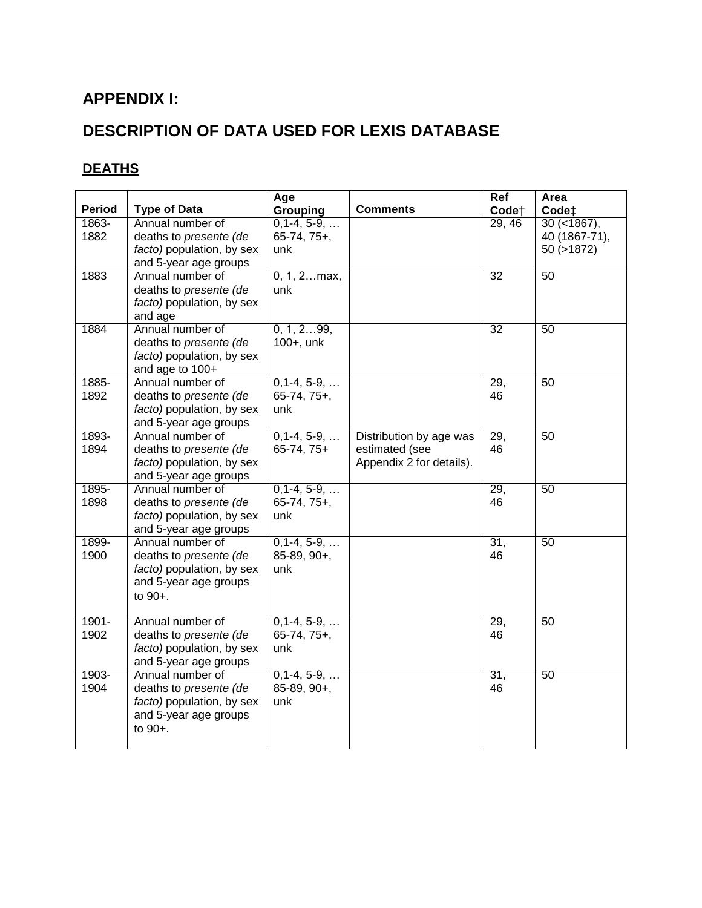# **APPENDIX I:**

# **DESCRIPTION OF DATA USED FOR LEXIS DATABASE**

# **DEATHS**

| <b>Period</b>    | <b>Type of Data</b>                                                                                         | Age<br>Grouping                              | <b>Comments</b>                                                       | Ref<br>Code <sup>+</sup> | Area<br>Code <sup>+</sup>                           |
|------------------|-------------------------------------------------------------------------------------------------------------|----------------------------------------------|-----------------------------------------------------------------------|--------------------------|-----------------------------------------------------|
| 1863-<br>1882    | Annual number of<br>deaths to presente (de<br>facto) population, by sex<br>and 5-year age groups            | $0,1-4, 5-9, \ldots$<br>$65-74, 75+,$<br>unk |                                                                       | 29,46                    | $30 (-1867),$<br>40 (1867-71),<br>50 ( $\geq$ 1872) |
| 1883             | Annual number of<br>deaths to presente (de<br>facto) population, by sex<br>and age                          | $0, 1, 2$ max,<br>unk                        |                                                                       | 32                       | 50                                                  |
| 1884             | Annual number of<br>deaths to presente (de<br>facto) population, by sex<br>and age to 100+                  | 0, 1, 299,<br>100+, unk                      |                                                                       | 32                       | 50                                                  |
| 1885-<br>1892    | Annual number of<br>deaths to presente (de<br>facto) population, by sex<br>and 5-year age groups            | $0,1-4, 5-9, \ldots$<br>$65-74, 75+,$<br>unk |                                                                       | 29,<br>46                | 50                                                  |
| 1893-<br>1894    | Annual number of<br>deaths to presente (de<br>facto) population, by sex<br>and 5-year age groups            | $0,1-4, 5-9, \ldots$<br>$65-74, 75+$         | Distribution by age was<br>estimated (see<br>Appendix 2 for details). | 29,<br>46                | 50                                                  |
| 1895-<br>1898    | Annual number of<br>deaths to presente (de<br>facto) population, by sex<br>and 5-year age groups            | $0,1-4, 5-9, \ldots$<br>$65-74, 75+,$<br>unk |                                                                       | 29,<br>46                | 50                                                  |
| 1899-<br>1900    | Annual number of<br>deaths to presente (de<br>facto) population, by sex<br>and 5-year age groups<br>to 90+. | $0,1-4, 5-9, \ldots$<br>85-89, 90+,<br>unk   |                                                                       | 31,<br>46                | 50                                                  |
| $1901 -$<br>1902 | Annual number of<br>deaths to presente (de<br>facto) population, by sex<br>and 5-year age groups            | $0,1-4, 5-9, $<br>$65-74, 75+,$<br>unk       |                                                                       | 29,<br>46                | 50                                                  |
| 1903-<br>1904    | Annual number of<br>deaths to presente (de<br>facto) population, by sex<br>and 5-year age groups<br>to 90+. | $0,1-4, 5-9, \ldots$<br>85-89, 90+,<br>unk   |                                                                       | 31,<br>46                | 50                                                  |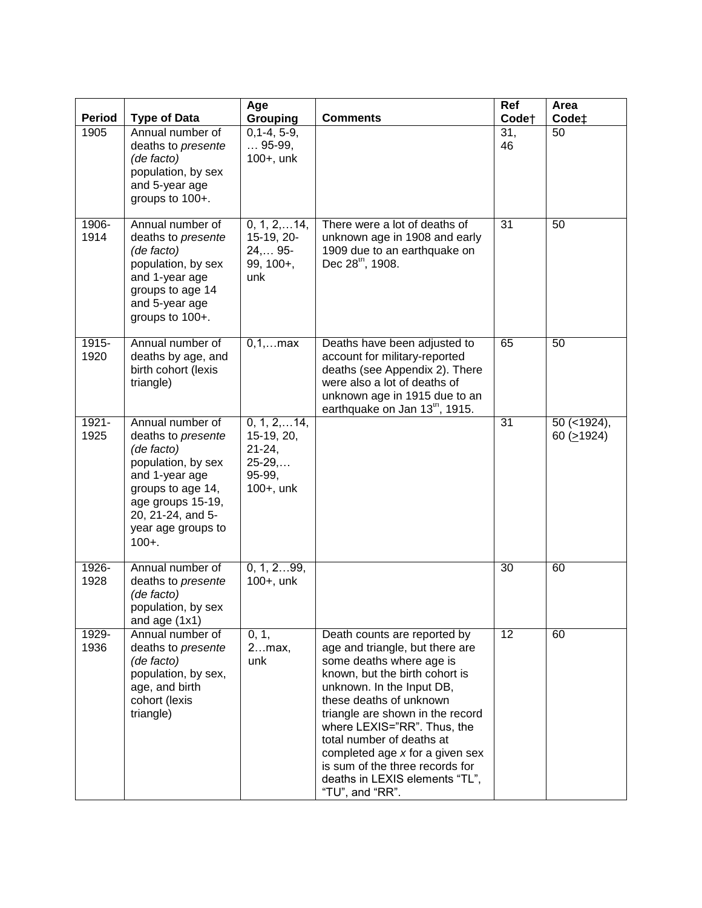| Period           | <b>Type of Data</b>                                                                                                                                                                            | Age<br>Grouping                                                                      | <b>Comments</b>                                                                                                                                                                                                                                                                                                                                                                                                  | Ref<br>Code†    | Area<br>Code <sup>+</sup>     |
|------------------|------------------------------------------------------------------------------------------------------------------------------------------------------------------------------------------------|--------------------------------------------------------------------------------------|------------------------------------------------------------------------------------------------------------------------------------------------------------------------------------------------------------------------------------------------------------------------------------------------------------------------------------------------------------------------------------------------------------------|-----------------|-------------------------------|
| 1905             | Annual number of<br>deaths to presente<br>(de facto)<br>population, by sex<br>and 5-year age<br>groups to 100+.                                                                                | $0, 1-4, 5-9,$<br>$$ 95-99,<br>$100+$ , unk                                          |                                                                                                                                                                                                                                                                                                                                                                                                                  | 31,<br>46       | 50                            |
| 1906-<br>1914    | Annual number of<br>deaths to presente<br>(de facto)<br>population, by sex<br>and 1-year age<br>groups to age 14<br>and 5-year age<br>groups to 100+.                                          | $0, 1, 2, \ldots 14,$<br>15-19, 20-<br>$24, 95$ -<br>$99, 100 +$ ,<br>unk            | There were a lot of deaths of<br>unknown age in 1908 and early<br>1909 due to an earthquake on<br>Dec 28 <sup>th</sup> , 1908.                                                                                                                                                                                                                                                                                   | 31              | 50                            |
| $1915 -$<br>1920 | Annual number of<br>deaths by age, and<br>birth cohort (lexis<br>triangle)                                                                                                                     | $0,1,$ max                                                                           | Deaths have been adjusted to<br>account for military-reported<br>deaths (see Appendix 2). There<br>were also a lot of deaths of<br>unknown age in 1915 due to an<br>earthquake on Jan 13 <sup>th</sup> , 1915.                                                                                                                                                                                                   | 65              | 50                            |
| $1921 -$<br>1925 | Annual number of<br>deaths to presente<br>(de facto)<br>population, by sex<br>and 1-year age<br>groups to age 14,<br>age groups 15-19,<br>20, 21-24, and 5-<br>year age groups to<br>$100 + .$ | $0, 1, 2, \ldots$ 14,<br>15-19, 20,<br>$21 - 24,$<br>$25-29,$<br>95-99,<br>100+, unk |                                                                                                                                                                                                                                                                                                                                                                                                                  | 31              | $50$ (<1924),<br>60 $(21924)$ |
| 1926-<br>1928    | Annual number of<br>deaths to presente<br>(de facto)<br>population, by sex<br>and age $(1x1)$                                                                                                  | 0, 1, 299,<br>$100+$ , unk                                                           |                                                                                                                                                                                                                                                                                                                                                                                                                  | $\overline{30}$ | 60                            |
| 1929-<br>1936    | Annual number of<br>deaths to presente<br>(de facto)<br>population, by sex,<br>age, and birth<br>cohort (lexis<br>triangle)                                                                    | 0, 1,<br>2max,<br>unk                                                                | Death counts are reported by<br>age and triangle, but there are<br>some deaths where age is<br>known, but the birth cohort is<br>unknown. In the Input DB,<br>these deaths of unknown<br>triangle are shown in the record<br>where LEXIS="RR". Thus, the<br>total number of deaths at<br>completed age x for a given sex<br>is sum of the three records for<br>deaths in LEXIS elements "TL",<br>"TU", and "RR". | $\overline{12}$ | 60                            |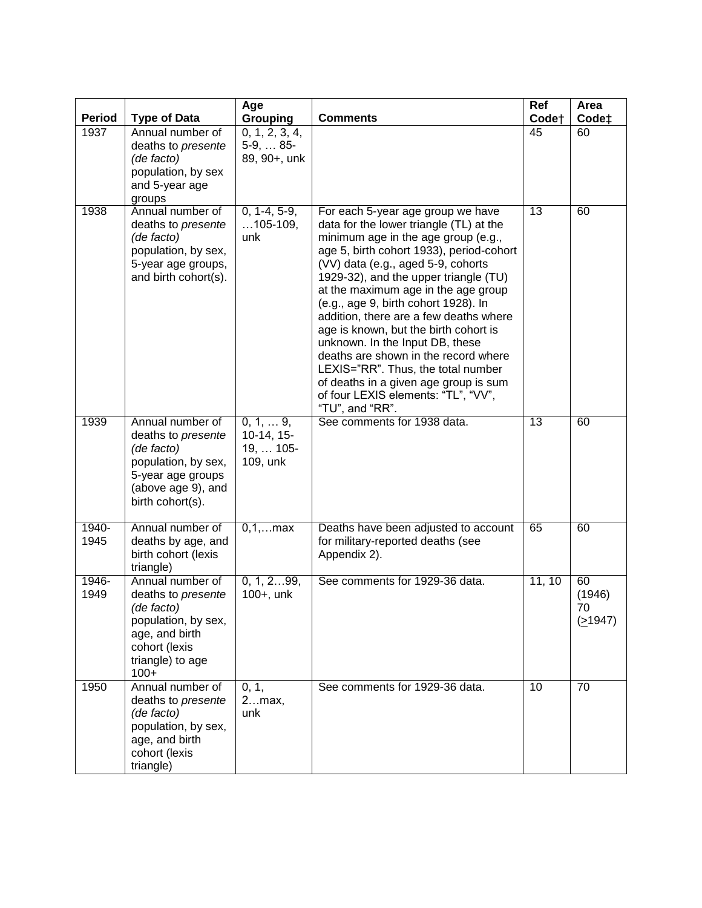| <b>Period</b> | <b>Type of Data</b>                                                                                                                          | Age<br>Grouping                                          | <b>Comments</b>                                                                                                                                                                                                                                                                                                                                                                                                                                                                                                                                                                                                                      | Ref<br>Code <sup>+</sup> | Area<br>Code <sup>+</sup>     |
|---------------|----------------------------------------------------------------------------------------------------------------------------------------------|----------------------------------------------------------|--------------------------------------------------------------------------------------------------------------------------------------------------------------------------------------------------------------------------------------------------------------------------------------------------------------------------------------------------------------------------------------------------------------------------------------------------------------------------------------------------------------------------------------------------------------------------------------------------------------------------------------|--------------------------|-------------------------------|
| 1937          | Annual number of<br>deaths to presente<br>(de facto)<br>population, by sex<br>and 5-year age<br>groups                                       | 0, 1, 2, 3, 4,<br>$5-9, \ldots 85-$<br>89, 90+, unk      |                                                                                                                                                                                                                                                                                                                                                                                                                                                                                                                                                                                                                                      | 45                       | 60                            |
| 1938          | Annual number of<br>deaths to presente<br>(de facto)<br>population, by sex,<br>5-year age groups,<br>and birth cohort(s).                    | $0, 1-4, 5-9,$<br>$105-109,$<br>unk                      | For each 5-year age group we have<br>data for the lower triangle (TL) at the<br>minimum age in the age group (e.g.,<br>age 5, birth cohort 1933), period-cohort<br>(VV) data (e.g., aged 5-9, cohorts<br>1929-32), and the upper triangle (TU)<br>at the maximum age in the age group<br>(e.g., age 9, birth cohort 1928). In<br>addition, there are a few deaths where<br>age is known, but the birth cohort is<br>unknown. In the Input DB, these<br>deaths are shown in the record where<br>LEXIS="RR". Thus, the total number<br>of deaths in a given age group is sum<br>of four LEXIS elements: "TL", "VV",<br>"TU", and "RR". | $\overline{13}$          | 60                            |
| 1939          | Annual number of<br>deaths to presente<br>(de facto)<br>population, by sex,<br>5-year age groups<br>(above age 9), and<br>birth cohort(s).   | $0, 1, \ldots 9,$<br>10-14, 15-<br>19,  105-<br>109, unk | See comments for 1938 data.                                                                                                                                                                                                                                                                                                                                                                                                                                                                                                                                                                                                          | $\overline{13}$          | 60                            |
| 1940-<br>1945 | Annual number of<br>deaths by age, and<br>birth cohort (lexis<br>triangle)                                                                   | $0, 1, $ max                                             | Deaths have been adjusted to account<br>for military-reported deaths (see<br>Appendix 2).                                                                                                                                                                                                                                                                                                                                                                                                                                                                                                                                            | 65                       | 60                            |
| 1946-<br>1949 | Annual number of<br>deaths to presente<br>(de facto)<br>population, by sex,<br>age, and birth<br>cohort (lexis<br>triangle) to age<br>$100+$ | 0, 1, 299,<br>$100+$ , unk                               | See comments for 1929-36 data.                                                                                                                                                                                                                                                                                                                                                                                                                                                                                                                                                                                                       | 11, 10                   | 60<br>(1946)<br>70<br>(21947) |
| 1950          | Annual number of<br>deaths to presente<br>(de facto)<br>population, by sex,<br>age, and birth<br>cohort (lexis<br>triangle)                  | 0, 1,<br>2max,<br>unk                                    | See comments for 1929-36 data.                                                                                                                                                                                                                                                                                                                                                                                                                                                                                                                                                                                                       | 10                       | $\overline{70}$               |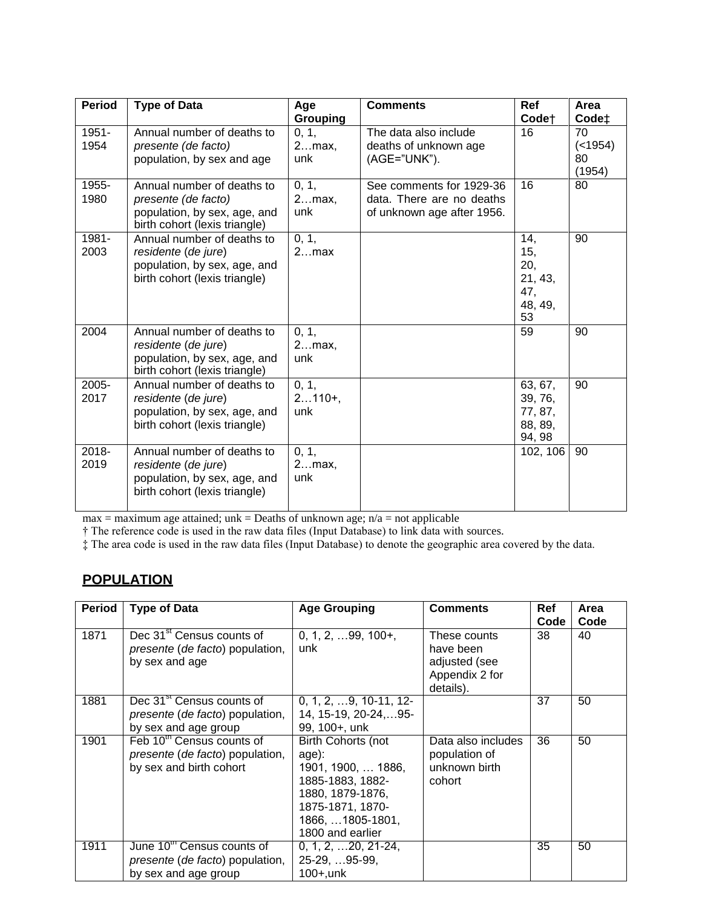| <b>Period</b>    | <b>Type of Data</b>                                                                                                | Age<br>Grouping          | <b>Comments</b>                                                                     | <b>Ref</b><br>Code <sup>+</sup>                      | Area<br>Code <sup>+</sup>       |
|------------------|--------------------------------------------------------------------------------------------------------------------|--------------------------|-------------------------------------------------------------------------------------|------------------------------------------------------|---------------------------------|
| $1951 -$<br>1954 | Annual number of deaths to<br>presente (de facto)<br>population, by sex and age                                    | 0, 1,<br>$2max$ ,<br>unk | The data also include<br>deaths of unknown age<br>(AGE="UNK").                      | 16                                                   | 70<br>( < 1954)<br>80<br>(1954) |
| 1955-<br>1980    | Annual number of deaths to<br>presente (de facto)<br>population, by sex, age, and<br>birth cohort (lexis triangle) | 0, 1,<br>2max,<br>unk    | See comments for 1929-36<br>data. There are no deaths<br>of unknown age after 1956. | 16                                                   | 80                              |
| 1981-<br>2003    | Annual number of deaths to<br>residente (de jure)<br>population, by sex, age, and<br>birth cohort (lexis triangle) | 0, 1,<br>2max            |                                                                                     | 14,<br>15,<br>20,<br>21, 43,<br>47,<br>48, 49,<br>53 | 90                              |
| 2004             | Annual number of deaths to<br>residente (de jure)<br>population, by sex, age, and<br>birth cohort (lexis triangle) | 0, 1,<br>$2max$ ,<br>unk |                                                                                     | 59                                                   | 90                              |
| $2005 -$<br>2017 | Annual number of deaths to<br>residente (de jure)<br>population, by sex, age, and<br>birth cohort (lexis triangle) | 0, 1,<br>$2110+,$<br>unk |                                                                                     | 63, 67,<br>39, 76,<br>77, 87,<br>88, 89,<br>94, 98   | 90                              |
| $2018 -$<br>2019 | Annual number of deaths to<br>residente (de jure)<br>population, by sex, age, and<br>birth cohort (lexis triangle) | 0, 1,<br>2max,<br>unk    |                                                                                     | 102, 106                                             | 90                              |

 $max = maximum$  age attained;  $unk = Deaths$  of unknown age;  $n/a = not$  applicable

† The reference code is used in the raw data files (Input Database) to link data with sources.

‡ The area code is used in the raw data files (Input Database) to denote the geographic area covered by the data.

## **POPULATION**

| <b>Period</b> | <b>Type of Data</b>                                                                                 | <b>Age Grouping</b>                                                                                                                                    | <b>Comments</b>                                                           | <b>Ref</b><br>Code | Area<br>Code |
|---------------|-----------------------------------------------------------------------------------------------------|--------------------------------------------------------------------------------------------------------------------------------------------------------|---------------------------------------------------------------------------|--------------------|--------------|
| 1871          | Dec 31 <sup>st</sup> Census counts of<br>presente (de facto) population,<br>by sex and age          | $0, 1, 2, \ldots 99, 100+,$<br>unk                                                                                                                     | These counts<br>have been<br>adjusted (see<br>Appendix 2 for<br>details). | 38                 | 40           |
| 1881          | Dec 31 <sup>st</sup> Census counts of<br>presente (de facto) population,<br>by sex and age group    | $0, 1, 2, \ldots 9, 10-11, 12-$<br>14, 15-19, 20-24,  95-<br>99, 100+, unk                                                                             |                                                                           | 37                 | 50           |
| 1901          | Feb 10 <sup>th</sup> Census counts of<br>presente (de facto) population,<br>by sex and birth cohort | Birth Cohorts (not<br>age):<br>1901, 1900,  1886,<br>1885-1883, 1882-<br>1880, 1879-1876,<br>1875-1871, 1870-<br>1866,  1805-1801,<br>1800 and earlier | Data also includes<br>population of<br>unknown birth<br>cohort            | 36                 | 50           |
| 1911          | June 10 <sup>th</sup> Census counts of<br>presente (de facto) population,<br>by sex and age group   | $0, 1, 2, \ldots 20, 21-24,$<br>25-29, 95-99,<br>100+,unk                                                                                              |                                                                           | 35                 | 50           |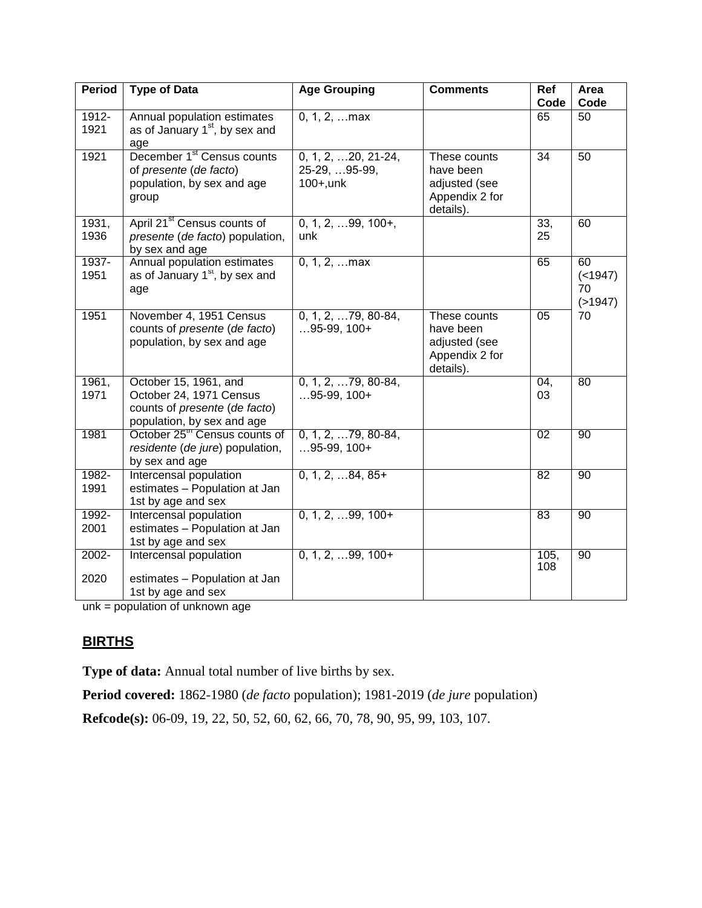| <b>Period</b>    | <b>Type of Data</b>                                                                                             | <b>Age Grouping</b>                                     | <b>Comments</b>                                                           | Ref             | Area                               |
|------------------|-----------------------------------------------------------------------------------------------------------------|---------------------------------------------------------|---------------------------------------------------------------------------|-----------------|------------------------------------|
|                  |                                                                                                                 |                                                         |                                                                           | Code            | Code                               |
| $1912 -$<br>1921 | Annual population estimates<br>as of January 1 <sup>st</sup> , by sex and<br>age                                | $0, 1, 2, $ max                                         |                                                                           | 65              | 50                                 |
| 1921             | December 1 <sup>st</sup> Census counts<br>of presente (de facto)<br>population, by sex and age<br>group         | $0, 1, 2, $ 20, 21-24,<br>25-29, 95-99,<br>$100+$ , unk | These counts<br>have been<br>adjusted (see<br>Appendix 2 for<br>details). | $\overline{34}$ | $\overline{50}$                    |
| 1931,<br>1936    | April 21 <sup>st</sup> Census counts of<br>presente (de facto) population,<br>by sex and age                    | $0, 1, 2, \ldots$ 99, 100+,<br>unk                      |                                                                           | 33,<br>25       | 60                                 |
| 1937-<br>1951    | Annual population estimates<br>as of January 1 <sup>st</sup> , by sex and<br>age                                | $0, 1, 2, $ max                                         |                                                                           | 65              | 60<br>( < 1947)<br>70<br>( > 1947) |
| 1951             | November 4, 1951 Census<br>counts of presente (de facto)<br>population, by sex and age                          | $0, 1, 2, \ldots$ 79, 80-84,<br>$95-99, 100+$           | These counts<br>have been<br>adjusted (see<br>Appendix 2 for<br>details). | 05              | 70                                 |
| 1961,<br>1971    | October 15, 1961, and<br>October 24, 1971 Census<br>counts of presente (de facto)<br>population, by sex and age | $0, 1, 2, \ldots$ 79, 80-84,<br>$95-99, 100+$           |                                                                           | 04.<br>03       | 80                                 |
| 1981             | October 25 <sup>th</sup> Census counts of<br>residente (de jure) population,<br>by sex and age                  | $0, 1, 2, \ldots$ 79, 80-84,<br>$95-99, 100+$           |                                                                           | 02              | 90                                 |
| 1982-<br>1991    | Intercensal population<br>estimates - Population at Jan<br>1st by age and sex                                   | $0, 1, 2, 84, 85+$                                      |                                                                           | 82              | 90                                 |
| 1992-<br>2001    | Intercensal population<br>estimates - Population at Jan<br>1st by age and sex                                   | $0, 1, 2, \ldots$ 99, 100+                              |                                                                           | 83              | 90                                 |
| 2002-<br>2020    | Intercensal population<br>estimates - Population at Jan<br>1st by age and sex                                   | $0, 1, 2, \ldots$ 99, 100+                              |                                                                           | 105,<br>108     | 90                                 |

unk = population of unknown age

### **BIRTHS**

**Type of data:** Annual total number of live births by sex.

**Period covered:** 1862-1980 (*de facto* population); 1981-2019 (*de jure* population)

**Refcode(s):** 06-09, 19, 22, 50, 52, 60, 62, 66, 70, 78, 90, 95, 99, 103, 107.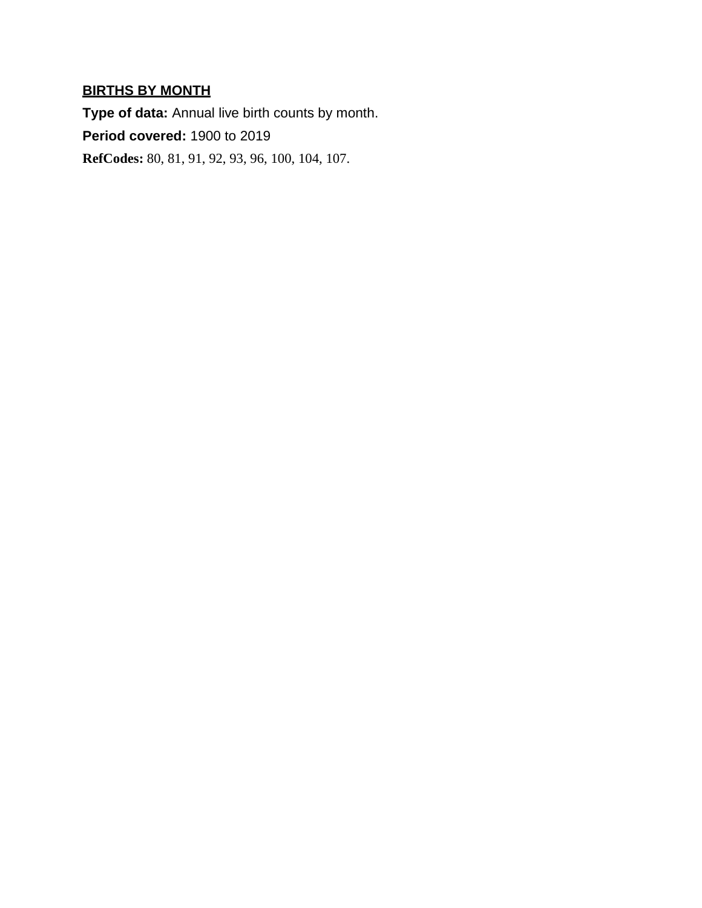# **BIRTHS BY MONTH**

**Type of data:** Annual live birth counts by month. **Period covered:** 1900 to 2019 **RefCodes:** 80, 81, 91, 92, 93, 96, 100, 104, 107.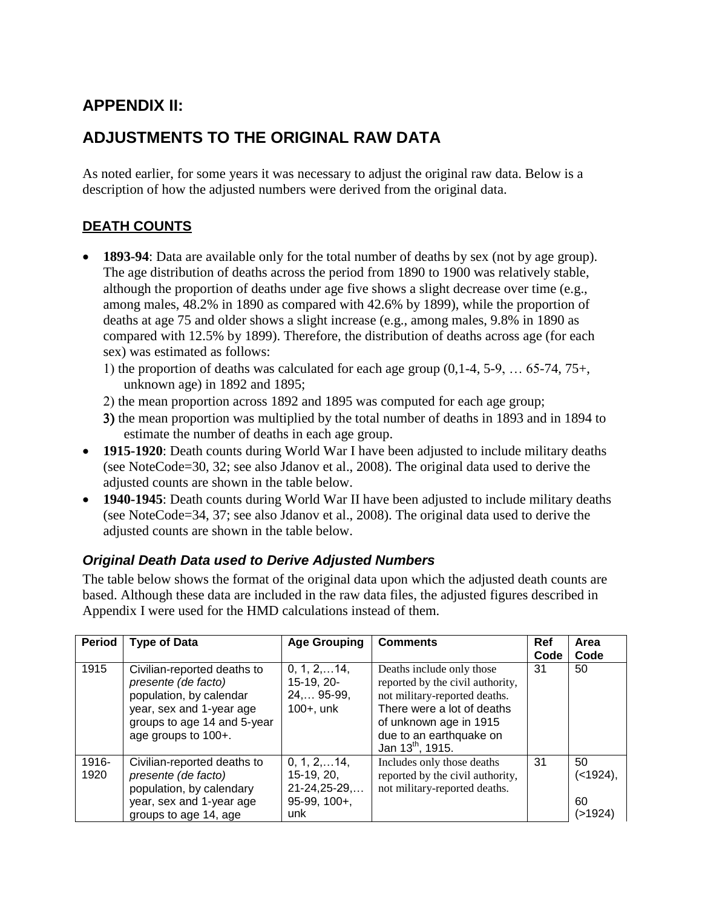# **APPENDIX II:**

# **ADJUSTMENTS TO THE ORIGINAL RAW DATA**

As noted earlier, for some years it was necessary to adjust the original raw data. Below is a description of how the adjusted numbers were derived from the original data.

## **DEATH COUNTS**

- **1893-94**: Data are available only for the total number of deaths by sex (not by age group). The age distribution of deaths across the period from 1890 to 1900 was relatively stable, although the proportion of deaths under age five shows a slight decrease over time (e.g., among males, 48.2% in 1890 as compared with 42.6% by 1899), while the proportion of deaths at age 75 and older shows a slight increase (e.g., among males, 9.8% in 1890 as compared with 12.5% by 1899). Therefore, the distribution of deaths across age (for each sex) was estimated as follows:
	- 1) the proportion of deaths was calculated for each age group  $(0,1-4, 5-9, \ldots 65-74, 75+,$ unknown age) in 1892 and 1895;
	- 2) the mean proportion across 1892 and 1895 was computed for each age group;
	- 3) the mean proportion was multiplied by the total number of deaths in 1893 and in 1894 to estimate the number of deaths in each age group.
- **1915-1920**: Death counts during World War I have been adjusted to include military deaths (see NoteCode=30, 32; see also Jdanov et al., 2008). The original data used to derive the adjusted counts are shown in the table below.
- **1940-1945**: Death counts during World War II have been adjusted to include military deaths (see NoteCode=34, 37; see also Jdanov et al., 2008). The original data used to derive the adjusted counts are shown in the table below.

## *Original Death Data used to Derive Adjusted Numbers*

The table below shows the format of the original data upon which the adjusted death counts are based. Although these data are included in the raw data files, the adjusted figures described in Appendix I were used for the HMD calculations instead of them.

| <b>Period</b> | <b>Type of Data</b>                                                                                                                                             | <b>Age Grouping</b>                                                                     | <b>Comments</b>                                                                                                                                                                                                   | Ref<br>Code | Area<br>Code                        |
|---------------|-----------------------------------------------------------------------------------------------------------------------------------------------------------------|-----------------------------------------------------------------------------------------|-------------------------------------------------------------------------------------------------------------------------------------------------------------------------------------------------------------------|-------------|-------------------------------------|
| 1915          | Civilian-reported deaths to<br>presente (de facto)<br>population, by calendar<br>year, sex and 1-year age<br>groups to age 14 and 5-year<br>age groups to 100+. | $0, 1, 2, \ldots$ 14,<br>15-19, 20-<br>24, 95-99,<br>$100+$ , unk                       | Deaths include only those<br>reported by the civil authority,<br>not military-reported deaths.<br>There were a lot of deaths<br>of unknown age in 1915<br>due to an earthquake on<br>Jan $13^{\text{th}}$ , 1915. | 31          | 50                                  |
| 1916-<br>1920 | Civilian-reported deaths to<br>presente (de facto)<br>population, by calendary<br>year, sex and 1-year age<br>groups to age 14, age                             | $0, 1, 2, \ldots$ 14,<br>$15-19, 20,$<br>$21 - 24, 25 - 29, $<br>$95-99, 100+$ ,<br>unk | Includes only those deaths<br>reported by the civil authority,<br>not military-reported deaths.                                                                                                                   | 31          | 50<br>( < 1924),<br>60<br>( > 1924) |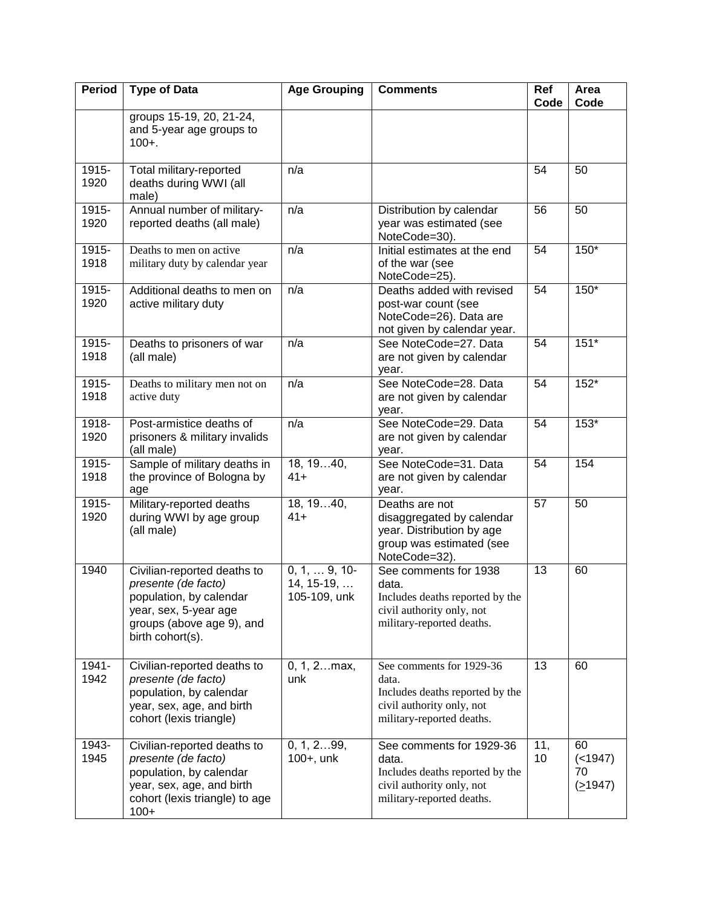| <b>Period</b> | <b>Type of Data</b>                                                                                                                                     | <b>Age Grouping</b>                                   | <b>Comments</b>                                                                                                                | Ref<br>Code     | Area<br>Code                     |
|---------------|---------------------------------------------------------------------------------------------------------------------------------------------------------|-------------------------------------------------------|--------------------------------------------------------------------------------------------------------------------------------|-----------------|----------------------------------|
|               | groups 15-19, 20, 21-24,<br>and 5-year age groups to<br>$100 +$ .                                                                                       |                                                       |                                                                                                                                |                 |                                  |
| 1915-<br>1920 | Total military-reported<br>deaths during WWI (all<br>male)                                                                                              | n/a                                                   |                                                                                                                                | 54              | 50                               |
| 1915-<br>1920 | Annual number of military-<br>reported deaths (all male)                                                                                                | n/a                                                   | Distribution by calendar<br>year was estimated (see<br>NoteCode=30).                                                           | 56              | 50                               |
| 1915-<br>1918 | Deaths to men on active<br>military duty by calendar year                                                                                               | n/a                                                   | Initial estimates at the end<br>of the war (see<br>NoteCode=25).                                                               | 54              | 150*                             |
| 1915-<br>1920 | Additional deaths to men on<br>active military duty                                                                                                     | n/a                                                   | Deaths added with revised<br>post-war count (see<br>NoteCode=26). Data are<br>not given by calendar year.                      | 54              | 150*                             |
| 1915-<br>1918 | Deaths to prisoners of war<br>(all male)                                                                                                                | n/a                                                   | See NoteCode=27. Data<br>are not given by calendar<br>year.                                                                    | 54              | $151*$                           |
| 1915-<br>1918 | Deaths to military men not on<br>active duty                                                                                                            | n/a                                                   | See NoteCode=28. Data<br>are not given by calendar<br>year.                                                                    | $\overline{54}$ | $152*$                           |
| 1918-<br>1920 | Post-armistice deaths of<br>prisoners & military invalids<br>(all male)                                                                                 | n/a                                                   | See NoteCode=29. Data<br>are not given by calendar<br>year.                                                                    | 54              | 153*                             |
| 1915-<br>1918 | Sample of military deaths in<br>the province of Bologna by<br>age                                                                                       | 18, 1940,<br>$41+$                                    | See NoteCode=31. Data<br>are not given by calendar<br>year.                                                                    | 54              | 154                              |
| 1915-<br>1920 | Military-reported deaths<br>during WWI by age group<br>(all male)                                                                                       | 18, 1940,<br>$41+$                                    | Deaths are not<br>disaggregated by calendar<br>year. Distribution by age<br>group was estimated (see<br>NoteCode=32).          | 57              | 50                               |
| 1940          | Civilian-reported deaths to<br>presente (de facto)<br>population, by calendar<br>year, sex, 5-year age<br>groups (above age 9), and<br>birth cohort(s). | $0, 1, \ldots 9, 10$<br>$14, 15-19, $<br>105-109, unk | See comments for 1938<br>data.<br>Includes deaths reported by the<br>civil authority only, not<br>military-reported deaths.    | 13              | 60                               |
| 1941-<br>1942 | Civilian-reported deaths to<br>presente (de facto)<br>population, by calendar<br>year, sex, age, and birth<br>cohort (lexis triangle)                   | 0, 1, 2max,<br>unk                                    | See comments for 1929-36<br>data.<br>Includes deaths reported by the<br>civil authority only, not<br>military-reported deaths. | 13              | 60                               |
| 1943-<br>1945 | Civilian-reported deaths to<br>presente (de facto)<br>population, by calendar<br>year, sex, age, and birth<br>cohort (lexis triangle) to age<br>$100+$  | 0, 1, 299,<br>$100+$ , unk                            | See comments for 1929-36<br>data.<br>Includes deaths reported by the<br>civil authority only, not<br>military-reported deaths. | 11,<br>10       | 60<br>( < 1947)<br>70<br>(21947) |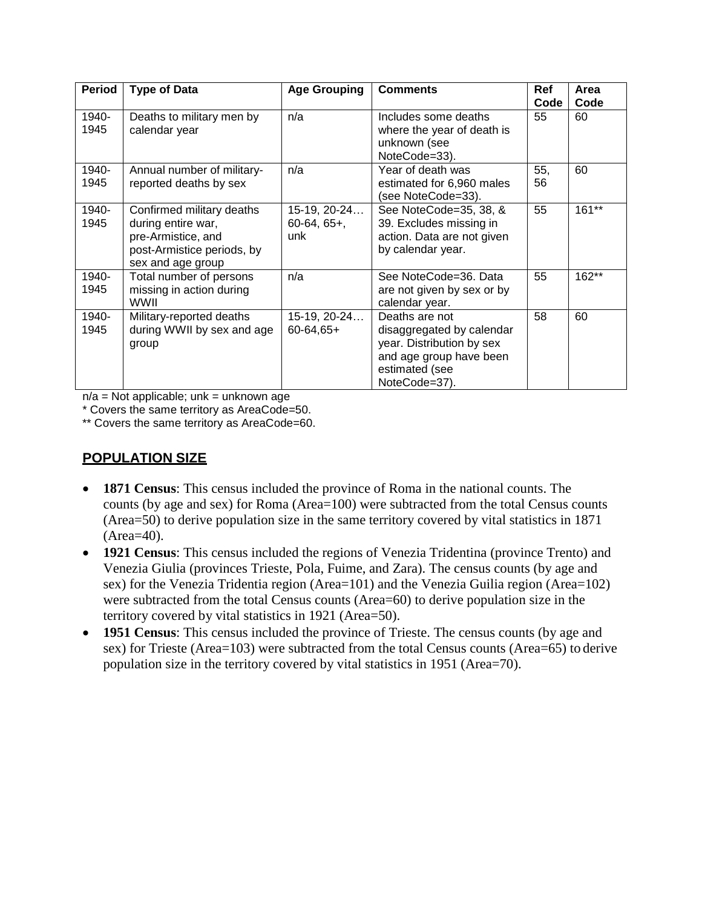| <b>Period</b> | <b>Type of Data</b>                                                                                                      | <b>Age Grouping</b>                  | <b>Comments</b>                                                                                                                        | Ref       | Area    |
|---------------|--------------------------------------------------------------------------------------------------------------------------|--------------------------------------|----------------------------------------------------------------------------------------------------------------------------------------|-----------|---------|
|               |                                                                                                                          |                                      |                                                                                                                                        | Code      | Code    |
| 1940-<br>1945 | Deaths to military men by<br>calendar year                                                                               | n/a                                  | Includes some deaths<br>where the year of death is<br>unknown (see<br>NoteCode=33).                                                    | 55        | 60      |
| 1940-<br>1945 | Annual number of military-<br>reported deaths by sex                                                                     | n/a                                  | Year of death was<br>estimated for 6,960 males<br>(see NoteCode=33).                                                                   | 55,<br>56 | 60      |
| 1940-<br>1945 | Confirmed military deaths<br>during entire war,<br>pre-Armistice, and<br>post-Armistice periods, by<br>sex and age group | 15-19, 20-24<br>$60-64, 65+,$<br>unk | See NoteCode=35, 38, &<br>39. Excludes missing in<br>action. Data are not given<br>by calendar year.                                   | 55        | $161**$ |
| 1940-<br>1945 | Total number of persons<br>missing in action during<br>WWII                                                              | n/a                                  | See NoteCode=36. Data<br>are not given by sex or by<br>calendar year.                                                                  | 55        | 162**   |
| 1940-<br>1945 | Military-reported deaths<br>during WWII by sex and age<br>group                                                          | $15-19, 20-24$<br>$60 - 64, 65 +$    | Deaths are not<br>disaggregated by calendar<br>year. Distribution by sex<br>and age group have been<br>estimated (see<br>NoteCode=37). | 58        | 60      |

 $n/a = Not applicable$ ; unk = unknown age

\* Covers the same territory as AreaCode=50.

\*\* Covers the same territory as AreaCode=60.

## **POPULATION SIZE**

- **1871 Census**: This census included the province of Roma in the national counts. The counts (by age and sex) for Roma (Area=100) were subtracted from the total Census counts (Area=50) to derive population size in the same territory covered by vital statistics in 1871 (Area=40).
- **1921 Census**: This census included the regions of Venezia Tridentina (province Trento) and Venezia Giulia (provinces Trieste, Pola, Fuime, and Zara). The census counts (by age and sex) for the Venezia Tridentia region (Area=101) and the Venezia Guilia region (Area=102) were subtracted from the total Census counts (Area=60) to derive population size in the territory covered by vital statistics in 1921 (Area=50).
- **1951 Census**: This census included the province of Trieste. The census counts (by age and sex) for Trieste (Area=103) were subtracted from the total Census counts (Area=65) to derive population size in the territory covered by vital statistics in 1951 (Area=70).